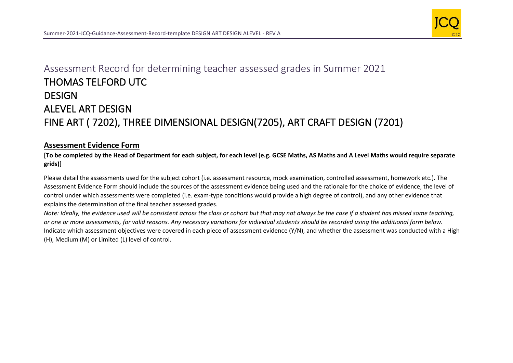

## Assessment Record for determining teacher assessed grades in Summer 2021 THOMAS TELFORD UTC **DESIGN** ALEVEL ART DESIGN FINE ART ( 7202), THREE DIMENSIONAL DESIGN(7205), ART CRAFT DESIGN (7201)

## **Assessment Evidence Form**

**[To be completed by the Head of Department for each subject, for each level (e.g. GCSE Maths, AS Maths and A Level Maths would require separate grids)]**

Please detail the assessments used for the subject cohort (i.e. assessment resource, mock examination, controlled assessment, homework etc.). The Assessment Evidence Form should include the sources of the assessment evidence being used and the rationale for the choice of evidence, the level of control under which assessments were completed (i.e. exam-type conditions would provide a high degree of control), and any other evidence that explains the determination of the final teacher assessed grades.

*Note: Ideally, the evidence used will be consistent across the class or cohort but that may not always be the case if a student has missed some teaching, or one or more assessments, for valid reasons. Any necessary variations for individual students should be recorded using the additional form below.*  Indicate which assessment objectives were covered in each piece of assessment evidence (Y/N), and whether the assessment was conducted with a High (H), Medium (M) or Limited (L) level of control.